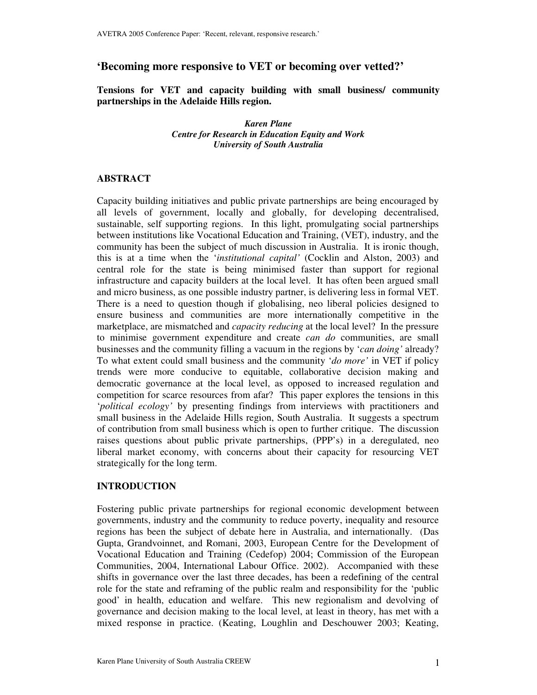# **'Becoming more responsive to VET or becoming over vetted?'**

**Tensions for VET and capacity building with small business/ community partnerships in the Adelaide Hills region.**

> *Karen Plane Centre for Research in Education Equity and Work University of South Australia*

## **ABSTRACT**

Capacity building initiatives and public private partnerships are being encouraged by all levels of government, locally and globally, for developing decentralised, sustainable, self supporting regions. In this light, promulgating social partnerships between institutions like Vocational Education and Training, (VET), industry, and the community has been the subject of much discussion in Australia. It is ironic though, this is at a time when the '*institutional capital'* (Cocklin and Alston, 2003) and central role for the state is being minimised faster than support for regional infrastructure and capacity builders at the local level. It has often been argued small and micro business, as one possible industry partner, is delivering less in formal VET. There is a need to question though if globalising, neo liberal policies designed to ensure business and communities are more internationally competitive in the marketplace, are mismatched and *capacity reducing* at the local level? In the pressure to minimise government expenditure and create *can do* communities, are small businesses and the community filling a vacuum in the regions by '*can doing'* already? To what extent could small business and the community '*do more'* in VET if policy trends were more conducive to equitable, collaborative decision making and democratic governance at the local level, as opposed to increased regulation and competition for scarce resources from afar? This paper explores the tensions in this '*political ecology'* by presenting findings from interviews with practitioners and small business in the Adelaide Hills region, South Australia. It suggests a spectrum of contribution from small business which is open to further critique. The discussion raises questions about public private partnerships, (PPP's) in a deregulated, neo liberal market economy, with concerns about their capacity for resourcing VET strategically for the long term.

## **INTRODUCTION**

Fostering public private partnerships for regional economic development between governments, industry and the community to reduce poverty, inequality and resource regions has been the subject of debate here in Australia, and internationally. (Das Gupta, Grandvoinnet, and Romani, 2003, European Centre for the Development of Vocational Education and Training (Cedefop) 2004; Commission of the European Communities, 2004, International Labour Office. 2002). Accompanied with these shifts in governance over the last three decades, has been a redefining of the central role for the state and reframing of the public realm and responsibility for the 'public good' in health, education and welfare. This new regionalism and devolving of governance and decision making to the local level, at least in theory, has met with a mixed response in practice. (Keating, Loughlin and Deschouwer 2003; Keating,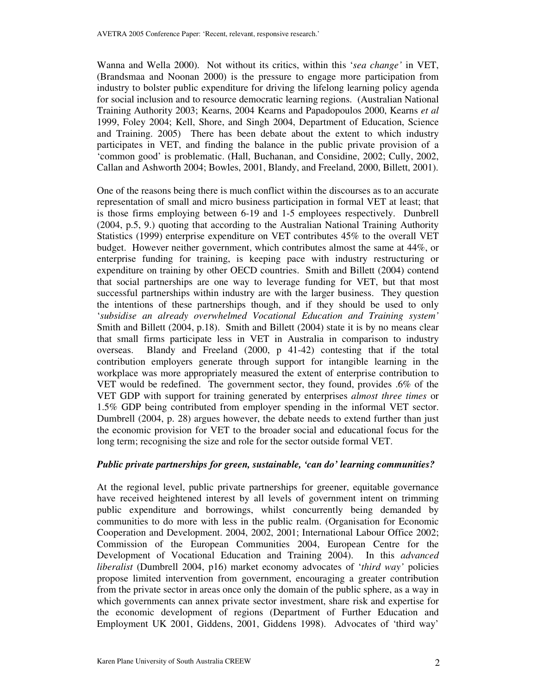Wanna and Wella 2000). Not without its critics, within this '*sea change'* in VET, (Brandsmaa and Noonan 2000) is the pressure to engage more participation from industry to bolster public expenditure for driving the lifelong learning policy agenda for social inclusion and to resource democratic learning regions. (Australian National Training Authority 2003; Kearns, 2004 Kearns and Papadopoulos 2000, Kearns *et al* 1999, Foley 2004; Kell, Shore, and Singh 2004, Department of Education, Science and Training. 2005) There has been debate about the extent to which industry participates in VET, and finding the balance in the public private provision of a 'common good' is problematic. (Hall, Buchanan, and Considine, 2002; Cully, 2002, Callan and Ashworth 2004; Bowles, 2001, Blandy, and Freeland, 2000, Billett, 2001).

One of the reasons being there is much conflict within the discourses as to an accurate representation of small and micro business participation in formal VET at least; that is those firms employing between 6-19 and 1-5 employees respectively. Dunbrell (2004, p.5, 9.) quoting that according to the Australian National Training Authority Statistics (1999) enterprise expenditure on VET contributes 45% to the overall VET budget. However neither government, which contributes almost the same at 44%, or enterprise funding for training, is keeping pace with industry restructuring or expenditure on training by other OECD countries. Smith and Billett (2004) contend that social partnerships are one way to leverage funding for VET, but that most successful partnerships within industry are with the larger business. They question the intentions of these partnerships though, and if they should be used to only '*subsidise an already overwhelmed Vocational Education and Training system'* Smith and Billett (2004, p.18). Smith and Billett (2004) state it is by no means clear that small firms participate less in VET in Australia in comparison to industry overseas. Blandy and Freeland (2000, p 41-42) contesting that if the total contribution employers generate through support for intangible learning in the workplace was more appropriately measured the extent of enterprise contribution to VET would be redefined. The government sector, they found, provides .6% of the VET GDP with support for training generated by enterprises *almost three times* or 1.5% GDP being contributed from employer spending in the informal VET sector. Dumbrell (2004, p. 28) argues however, the debate needs to extend further than just the economic provision for VET to the broader social and educational focus for the long term; recognising the size and role for the sector outside formal VET.

## *Public private partnerships for green, sustainable, 'can do' learning communities?*

At the regional level, public private partnerships for greener, equitable governance have received heightened interest by all levels of government intent on trimming public expenditure and borrowings, whilst concurrently being demanded by communities to do more with less in the public realm. (Organisation for Economic Cooperation and Development. 2004, 2002, 2001; International Labour Office 2002; Commission of the European Communities 2004, European Centre for the Development of Vocational Education and Training 2004). In this *advanced liberalist* (Dumbrell 2004, p16) market economy advocates of '*third way'* policies propose limited intervention from government, encouraging a greater contribution from the private sector in areas once only the domain of the public sphere, as a way in which governments can annex private sector investment, share risk and expertise for the economic development of regions (Department of Further Education and Employment UK 2001, Giddens, 2001, Giddens 1998). Advocates of 'third way'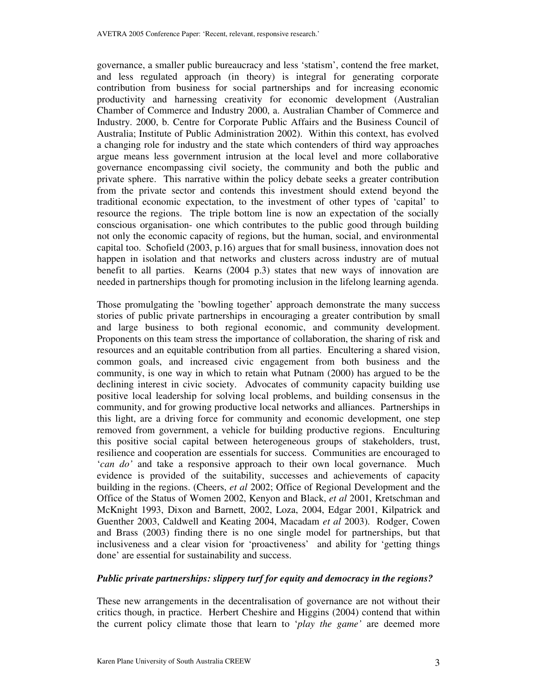governance, a smaller public bureaucracy and less 'statism', contend the free market, and less regulated approach (in theory) is integral for generating corporate contribution from business for social partnerships and for increasing economic productivity and harnessing creativity for economic development (Australian Chamber of Commerce and Industry 2000, a. Australian Chamber of Commerce and Industry. 2000, b. Centre for Corporate Public Affairs and the Business Council of Australia; Institute of Public Administration 2002). Within this context, has evolved a changing role for industry and the state which contenders of third way approaches argue means less government intrusion at the local level and more collaborative governance encompassing civil society, the community and both the public and private sphere. This narrative within the policy debate seeks a greater contribution from the private sector and contends this investment should extend beyond the traditional economic expectation, to the investment of other types of 'capital' to resource the regions. The triple bottom line is now an expectation of the socially conscious organisation- one which contributes to the public good through building not only the economic capacity of regions, but the human, social, and environmental capital too. Schofield (2003, p.16) argues that for small business, innovation does not happen in isolation and that networks and clusters across industry are of mutual benefit to all parties. Kearns (2004 p.3) states that new ways of innovation are needed in partnerships though for promoting inclusion in the lifelong learning agenda.

Those promulgating the 'bowling together' approach demonstrate the many success stories of public private partnerships in encouraging a greater contribution by small and large business to both regional economic, and community development. Proponents on this team stress the importance of collaboration, the sharing of risk and resources and an equitable contribution from all parties. Encultering a shared vision, common goals, and increased civic engagement from both business and the community, is one way in which to retain what Putnam (2000) has argued to be the declining interest in civic society. Advocates of community capacity building use positive local leadership for solving local problems, and building consensus in the community, and for growing productive local networks and alliances. Partnerships in this light, are a driving force for community and economic development, one step removed from government, a vehicle for building productive regions. Enculturing this positive social capital between heterogeneous groups of stakeholders, trust, resilience and cooperation are essentials for success. Communities are encouraged to '*can do'* and take a responsive approach to their own local governance. Much evidence is provided of the suitability, successes and achievements of capacity building in the regions. (Cheers, *et al* 2002; Office of Regional Development and the Office of the Status of Women 2002, Kenyon and Black, *et al* 2001, Kretschman and McKnight 1993, Dixon and Barnett, 2002, Loza, 2004, Edgar 2001, Kilpatrick and Guenther 2003, Caldwell and Keating 2004, Macadam *et al* 2003). Rodger, Cowen and Brass (2003) finding there is no one single model for partnerships, but that inclusiveness and a clear vision for 'proactiveness' and ability for 'getting things done' are essential for sustainability and success.

## *Public private partnerships: slippery turf for equity and democracy in the regions?*

These new arrangements in the decentralisation of governance are not without their critics though, in practice. Herbert Cheshire and Higgins (2004) contend that within the current policy climate those that learn to '*play the game'* are deemed more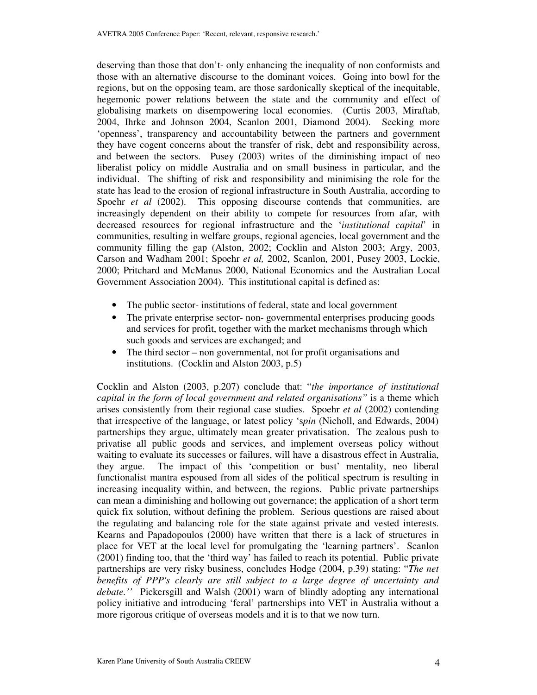deserving than those that don't- only enhancing the inequality of non conformists and those with an alternative discourse to the dominant voices. Going into bowl for the regions, but on the opposing team, are those sardonically skeptical of the inequitable, hegemonic power relations between the state and the community and effect of globalising markets on disempowering local economies. (Curtis 2003, Miraftab, 2004, Ihrke and Johnson 2004, Scanlon 2001, Diamond 2004). Seeking more 'openness', transparency and accountability between the partners and government they have cogent concerns about the transfer of risk, debt and responsibility across, and between the sectors. Pusey (2003) writes of the diminishing impact of neo liberalist policy on middle Australia and on small business in particular, and the individual. The shifting of risk and responsibility and minimising the role for the state has lead to the erosion of regional infrastructure in South Australia, according to Spoehr *et al* (2002). This opposing discourse contends that communities, are increasingly dependent on their ability to compete for resources from afar, with decreased resources for regional infrastructure and the '*institutional capital*' in communities, resulting in welfare groups, regional agencies, local government and the community filling the gap (Alston, 2002; Cocklin and Alston 2003; Argy, 2003, Carson and Wadham 2001; Spoehr *et al,* 2002, Scanlon, 2001, Pusey 2003, Lockie, 2000; Pritchard and McManus 2000, National Economics and the Australian Local Government Association 2004). This institutional capital is defined as:

- The public sector- institutions of federal, state and local government
- The private enterprise sector- non-governmental enterprises producing goods and services for profit, together with the market mechanisms through which such goods and services are exchanged; and
- The third sector non governmental, not for profit organisations and institutions. (Cocklin and Alston 2003, p.5)

Cocklin and Alston (2003, p.207) conclude that: "*the importance of institutional capital in the form of local government and related organisations"* is a theme which arises consistently from their regional case studies. Spoehr *et al* (2002) contending that irrespective of the language, or latest policy 's*pin* (Nicholl, and Edwards, 2004) partnerships they argue, ultimately mean greater privatisation. The zealous push to privatise all public goods and services, and implement overseas policy without waiting to evaluate its successes or failures, will have a disastrous effect in Australia, they argue. The impact of this 'competition or bust' mentality, neo liberal functionalist mantra espoused from all sides of the political spectrum is resulting in increasing inequality within, and between, the regions. Public private partnerships can mean a diminishing and hollowing out governance; the application of a short term quick fix solution, without defining the problem. Serious questions are raised about the regulating and balancing role for the state against private and vested interests. Kearns and Papadopoulos (2000) have written that there is a lack of structures in place for VET at the local level for promulgating the 'learning partners'. Scanlon (2001) finding too, that the 'third way' has failed to reach its potential. Public private partnerships are very risky business, concludes Hodge (2004, p.39) stating: "*The net benefits of PPP's clearly are still subject to a large degree of uncertainty and debate.''* Pickersgill and Walsh (2001) warn of blindly adopting any international policy initiative and introducing 'feral' partnerships into VET in Australia without a more rigorous critique of overseas models and it is to that we now turn.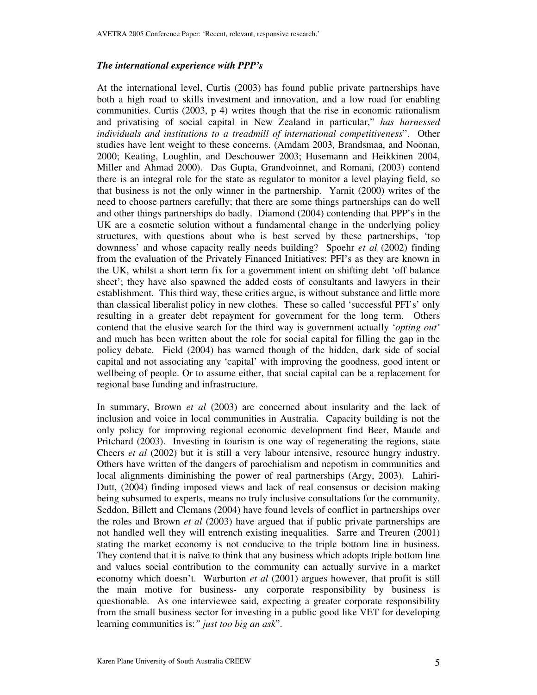#### *The international experience with PPP's*

At the international level, Curtis (2003) has found public private partnerships have both a high road to skills investment and innovation, and a low road for enabling communities. Curtis (2003, p 4) writes though that the rise in economic rationalism and privatising of social capital in New Zealand in particular," *has harnessed individuals and institutions to a treadmill of international competitiveness*". Other studies have lent weight to these concerns. (Amdam 2003, Brandsmaa, and Noonan, 2000; Keating, Loughlin, and Deschouwer 2003; Husemann and Heikkinen 2004, Miller and Ahmad 2000). Das Gupta, Grandvoinnet, and Romani, (2003) contend there is an integral role for the state as regulator to monitor a level playing field, so that business is not the only winner in the partnership. Yarnit (2000) writes of the need to choose partners carefully; that there are some things partnerships can do well and other things partnerships do badly. Diamond (2004) contending that PPP's in the UK are a cosmetic solution without a fundamental change in the underlying policy structures, with questions about who is best served by these partnerships, 'top downness' and whose capacity really needs building? Spoehr *et al* (2002) finding from the evaluation of the Privately Financed Initiatives: PFI's as they are known in the UK, whilst a short term fix for a government intent on shifting debt 'off balance sheet'; they have also spawned the added costs of consultants and lawyers in their establishment. This third way, these critics argue, is without substance and little more than classical liberalist policy in new clothes. These so called 'successful PFI's' only resulting in a greater debt repayment for government for the long term. Others contend that the elusive search for the third way is government actually '*opting out'* and much has been written about the role for social capital for filling the gap in the policy debate. Field (2004) has warned though of the hidden, dark side of social capital and not associating any 'capital' with improving the goodness, good intent or wellbeing of people. Or to assume either, that social capital can be a replacement for regional base funding and infrastructure.

In summary, Brown *et al* (2003) are concerned about insularity and the lack of inclusion and voice in local communities in Australia. Capacity building is not the only policy for improving regional economic development find Beer, Maude and Pritchard (2003). Investing in tourism is one way of regenerating the regions, state Cheers *et al* (2002) but it is still a very labour intensive, resource hungry industry. Others have written of the dangers of parochialism and nepotism in communities and local alignments diminishing the power of real partnerships (Argy, 2003). Lahiri-Dutt, (2004) finding imposed views and lack of real consensus or decision making being subsumed to experts, means no truly inclusive consultations for the community. Seddon, Billett and Clemans (2004) have found levels of conflict in partnerships over the roles and Brown *et al* (2003) have argued that if public private partnerships are not handled well they will entrench existing inequalities. Sarre and Treuren (2001) stating the market economy is not conducive to the triple bottom line in business. They contend that it is naïve to think that any business which adopts triple bottom line and values social contribution to the community can actually survive in a market economy which doesn't. Warburton *et al* (2001) argues however, that profit is still the main motive for business- any corporate responsibility by business is questionable. As one interviewee said, expecting a greater corporate responsibility from the small business sector for investing in a public good like VET for developing learning communities is:*" just too big an ask*".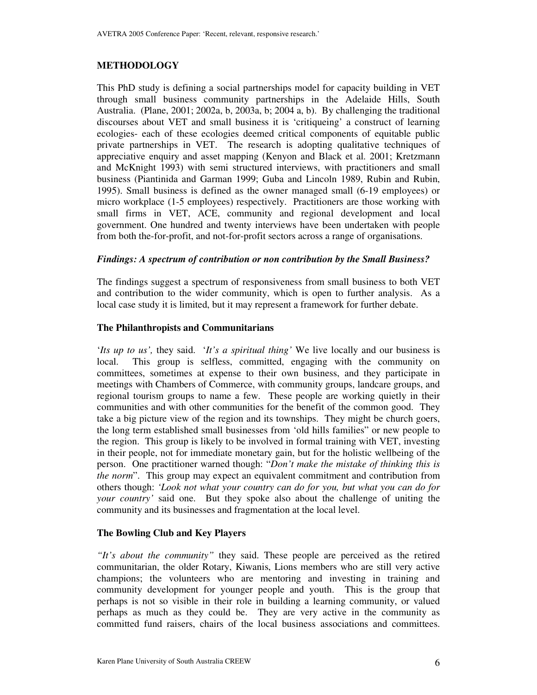## **METHODOLOGY**

This PhD study is defining a social partnerships model for capacity building in VET through small business community partnerships in the Adelaide Hills, South Australia. (Plane, 2001; 2002a, b, 2003a, b; 2004 a, b). By challenging the traditional discourses about VET and small business it is 'critiqueing' a construct of learning ecologies- each of these ecologies deemed critical components of equitable public private partnerships in VET. The research is adopting qualitative techniques of appreciative enquiry and asset mapping (Kenyon and Black et al. 2001; Kretzmann and McKnight 1993) with semi structured interviews, with practitioners and small business (Piantinida and Garman 1999; Guba and Lincoln 1989, Rubin and Rubin, 1995). Small business is defined as the owner managed small (6-19 employees) or micro workplace (1-5 employees) respectively. Practitioners are those working with small firms in VET, ACE, community and regional development and local government. One hundred and twenty interviews have been undertaken with people from both the-for-profit, and not-for-profit sectors across a range of organisations.

## *Findings: A spectrum of contribution or non contribution by the Small Business?*

The findings suggest a spectrum of responsiveness from small business to both VET and contribution to the wider community, which is open to further analysis. As a local case study it is limited, but it may represent a framework for further debate.

#### **The Philanthropists and Communitarians**

'*Its up to us',* they said. '*It's a spiritual thing'* We live locally and our business is local. This group is selfless, committed, engaging with the community on committees, sometimes at expense to their own business, and they participate in meetings with Chambers of Commerce, with community groups, landcare groups, and regional tourism groups to name a few. These people are working quietly in their communities and with other communities for the benefit of the common good. They take a big picture view of the region and its townships. They might be church goers, the long term established small businesses from 'old hills families" or new people to the region. This group is likely to be involved in formal training with VET, investing in their people, not for immediate monetary gain, but for the holistic wellbeing of the person. One practitioner warned though: "*Don't make the mistake of thinking this is the norm*". This group may expect an equivalent commitment and contribution from others though: *'Look not what your country can do for you, but what you can do for your country'* said one. But they spoke also about the challenge of uniting the community and its businesses and fragmentation at the local level.

## **The Bowling Club and Key Players**

*"It's about the community"* they said. These people are perceived as the retired communitarian, the older Rotary, Kiwanis, Lions members who are still very active champions; the volunteers who are mentoring and investing in training and community development for younger people and youth. This is the group that perhaps is not so visible in their role in building a learning community, or valued perhaps as much as they could be. They are very active in the community as committed fund raisers, chairs of the local business associations and committees.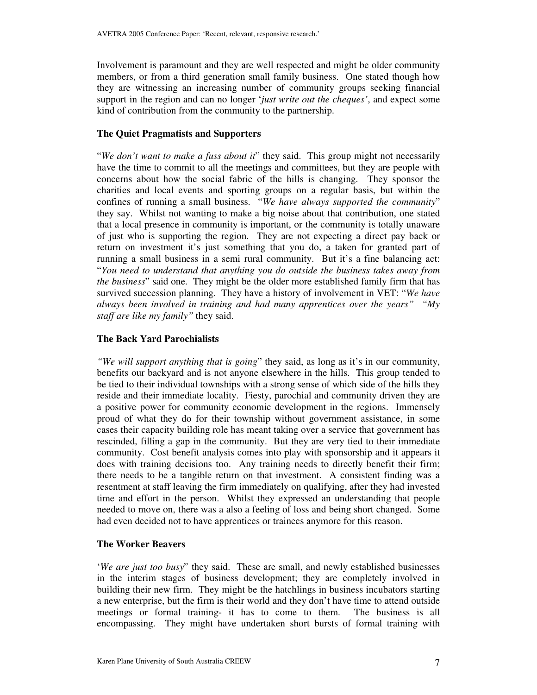Involvement is paramount and they are well respected and might be older community members, or from a third generation small family business. One stated though how they are witnessing an increasing number of community groups seeking financial support in the region and can no longer '*just write out the cheques'*, and expect some kind of contribution from the community to the partnership.

## **The Quiet Pragmatists and Supporters**

"*We don't want to make a fuss about it*" they said. This group might not necessarily have the time to commit to all the meetings and committees, but they are people with concerns about how the social fabric of the hills is changing. They sponsor the charities and local events and sporting groups on a regular basis, but within the confines of running a small business. "*We have always supported the community*" they say. Whilst not wanting to make a big noise about that contribution, one stated that a local presence in community is important, or the community is totally unaware of just who is supporting the region. They are not expecting a direct pay back or return on investment it's just something that you do, a taken for granted part of running a small business in a semi rural community. But it's a fine balancing act: "*You need to understand that anything you do outside the business takes away from the business*" said one. They might be the older more established family firm that has survived succession planning. They have a history of involvement in VET: "*We have always been involved in training and had many apprentices over the years" "My staff are like my family"* they said.

## **The Back Yard Parochialists**

*"We will support anything that is going*" they said, as long as it's in our community, benefits our backyard and is not anyone elsewhere in the hills. This group tended to be tied to their individual townships with a strong sense of which side of the hills they reside and their immediate locality. Fiesty, parochial and community driven they are a positive power for community economic development in the regions. Immensely proud of what they do for their township without government assistance, in some cases their capacity building role has meant taking over a service that government has rescinded, filling a gap in the community. But they are very tied to their immediate community. Cost benefit analysis comes into play with sponsorship and it appears it does with training decisions too. Any training needs to directly benefit their firm; there needs to be a tangible return on that investment. A consistent finding was a resentment at staff leaving the firm immediately on qualifying, after they had invested time and effort in the person. Whilst they expressed an understanding that people needed to move on, there was a also a feeling of loss and being short changed. Some had even decided not to have apprentices or trainees anymore for this reason.

## **The Worker Beavers**

'*We are just too busy*" they said. These are small, and newly established businesses in the interim stages of business development; they are completely involved in building their new firm. They might be the hatchlings in business incubators starting a new enterprise, but the firm is their world and they don't have time to attend outside meetings or formal training- it has to come to them. The business is all encompassing. They might have undertaken short bursts of formal training with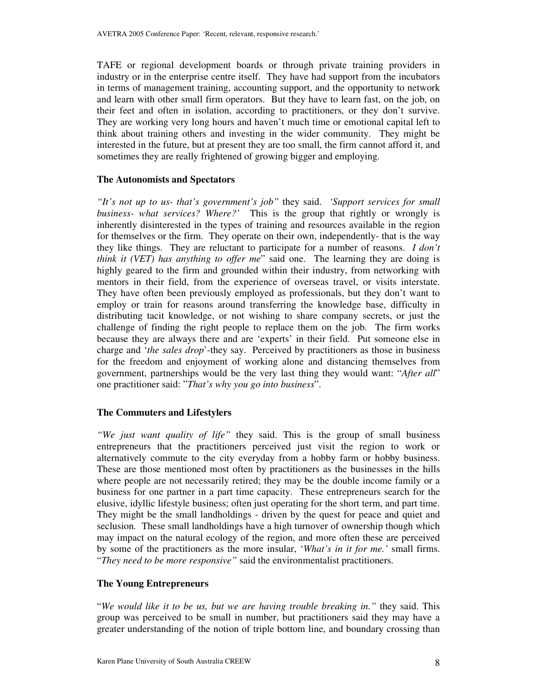TAFE or regional development boards or through private training providers in industry or in the enterprise centre itself. They have had support from the incubators in terms of management training, accounting support, and the opportunity to network and learn with other small firm operators. But they have to learn fast, on the job, on their feet and often in isolation, according to practitioners, or they don't survive. They are working very long hours and haven't much time or emotional capital left to think about training others and investing in the wider community. They might be interested in the future, but at present they are too small, the firm cannot afford it, and sometimes they are really frightened of growing bigger and employing.

#### **The Autonomists and Spectators**

*"It's not up to us- that's government's job"* they said. *'Support services for small business- what services? Where?'* This is the group that rightly or wrongly is inherently disinterested in the types of training and resources available in the region for themselves or the firm. They operate on their own, independently- that is the way they like things. They are reluctant to participate for a number of reasons. *I don't think it (VET) has anything to offer me*" said one. The learning they are doing is highly geared to the firm and grounded within their industry, from networking with mentors in their field, from the experience of overseas travel, or visits interstate. They have often been previously employed as professionals, but they don't want to employ or train for reasons around transferring the knowledge base, difficulty in distributing tacit knowledge, or not wishing to share company secrets, or just the challenge of finding the right people to replace them on the job. The firm works because they are always there and are 'experts' in their field. Put someone else in charge and '*the sales drop*'-they say. Perceived by practitioners as those in business for the freedom and enjoyment of working alone and distancing themselves from government, partnerships would be the very last thing they would want: "*After all*" one practitioner said: "*That's why you go into business*".

## **The Commuters and Lifestylers**

*"We just want quality of life"* they said. This is the group of small business entrepreneurs that the practitioners perceived just visit the region to work or alternatively commute to the city everyday from a hobby farm or hobby business. These are those mentioned most often by practitioners as the businesses in the hills where people are not necessarily retired; they may be the double income family or a business for one partner in a part time capacity. These entrepreneurs search for the elusive, idyllic lifestyle business; often just operating for the short term, and part time. They might be the small landholdings - driven by the quest for peace and quiet and seclusion*.* These small landholdings have a high turnover of ownership though which may impact on the natural ecology of the region, and more often these are perceived by some of the practitioners as the more insular, '*What's in it for me.'* small firms. "*They need to be more responsive"* said the environmentalist practitioners.

## **The Young Entrepreneurs**

"*We would like it to be us, but we are having trouble breaking in."* they said. This group was perceived to be small in number, but practitioners said they may have a greater understanding of the notion of triple bottom line, and boundary crossing than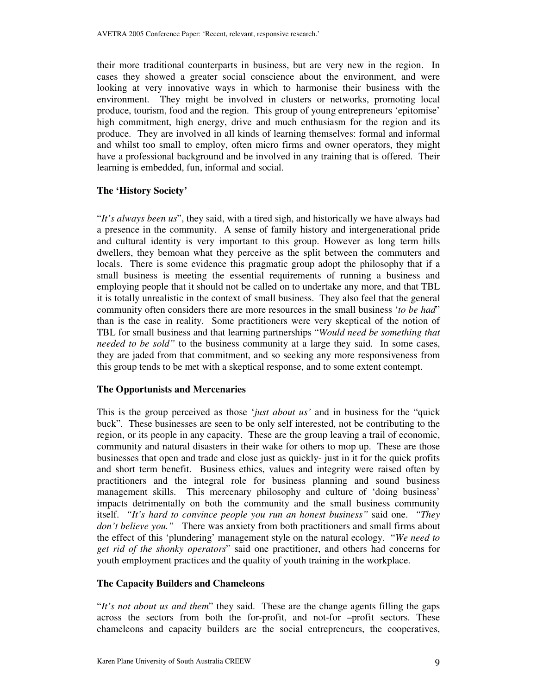their more traditional counterparts in business, but are very new in the region. In cases they showed a greater social conscience about the environment, and were looking at very innovative ways in which to harmonise their business with the environment. They might be involved in clusters or networks, promoting local produce, tourism, food and the region. This group of young entrepreneurs 'epitomise' high commitment, high energy, drive and much enthusiasm for the region and its produce. They are involved in all kinds of learning themselves: formal and informal and whilst too small to employ, often micro firms and owner operators, they might have a professional background and be involved in any training that is offered. Their learning is embedded, fun, informal and social.

## **The 'History Society'**

"*It's always been us*", they said, with a tired sigh, and historically we have always had a presence in the community. A sense of family history and intergenerational pride and cultural identity is very important to this group. However as long term hills dwellers, they bemoan what they perceive as the split between the commuters and locals. There is some evidence this pragmatic group adopt the philosophy that if a small business is meeting the essential requirements of running a business and employing people that it should not be called on to undertake any more, and that TBL it is totally unrealistic in the context of small business. They also feel that the general community often considers there are more resources in the small business '*to be had*" than is the case in reality. Some practitioners were very skeptical of the notion of TBL for small business and that learning partnerships "*Would need be something that needed to be sold"* to the business community at a large they said. In some cases, they are jaded from that commitment, and so seeking any more responsiveness from this group tends to be met with a skeptical response, and to some extent contempt.

#### **The Opportunists and Mercenaries**

This is the group perceived as those '*just about us'* and in business for the "quick buck". These businesses are seen to be only self interested, not be contributing to the region, or its people in any capacity. These are the group leaving a trail of economic, community and natural disasters in their wake for others to mop up. These are those businesses that open and trade and close just as quickly- just in it for the quick profits and short term benefit. Business ethics, values and integrity were raised often by practitioners and the integral role for business planning and sound business management skills. This mercenary philosophy and culture of 'doing business' impacts detrimentally on both the community and the small business community itself. *"It's hard to convince people you run an honest business"* said one. *"They don't believe you."* There was anxiety from both practitioners and small firms about the effect of this 'plundering' management style on the natural ecology. "*We need to get rid of the shonky operators*" said one practitioner, and others had concerns for youth employment practices and the quality of youth training in the workplace.

## **The Capacity Builders and Chameleons**

"*It's not about us and them*" they said. These are the change agents filling the gaps across the sectors from both the for-profit, and not-for –profit sectors. These chameleons and capacity builders are the social entrepreneurs, the cooperatives,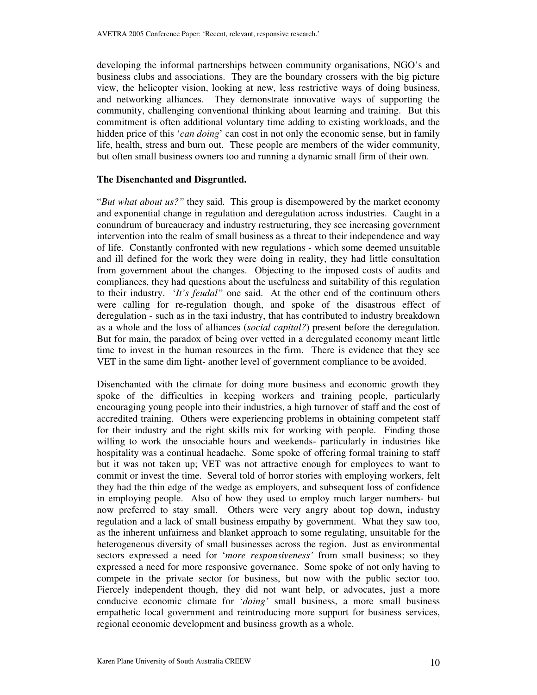developing the informal partnerships between community organisations, NGO's and business clubs and associations. They are the boundary crossers with the big picture view, the helicopter vision, looking at new, less restrictive ways of doing business, and networking alliances. They demonstrate innovative ways of supporting the community, challenging conventional thinking about learning and training. But this commitment is often additional voluntary time adding to existing workloads, and the hidden price of this '*can doing*' can cost in not only the economic sense, but in family life, health, stress and burn out. These people are members of the wider community, but often small business owners too and running a dynamic small firm of their own.

#### **The Disenchanted and Disgruntled.**

"*But what about us?"* they said. This group is disempowered by the market economy and exponential change in regulation and deregulation across industries. Caught in a conundrum of bureaucracy and industry restructuring, they see increasing government intervention into the realm of small business as a threat to their independence and way of life. Constantly confronted with new regulations - which some deemed unsuitable and ill defined for the work they were doing in reality, they had little consultation from government about the changes. Objecting to the imposed costs of audits and compliances, they had questions about the usefulness and suitability of this regulation to their industry. '*It's feudal"* one said. At the other end of the continuum others were calling for re-regulation though, and spoke of the disastrous effect of deregulation - such as in the taxi industry, that has contributed to industry breakdown as a whole and the loss of alliances (*social capital?*) present before the deregulation. But for main, the paradox of being over vetted in a deregulated economy meant little time to invest in the human resources in the firm. There is evidence that they see VET in the same dim light- another level of government compliance to be avoided.

Disenchanted with the climate for doing more business and economic growth they spoke of the difficulties in keeping workers and training people, particularly encouraging young people into their industries, a high turnover of staff and the cost of accredited training. Others were experiencing problems in obtaining competent staff for their industry and the right skills mix for working with people. Finding those willing to work the unsociable hours and weekends- particularly in industries like hospitality was a continual headache. Some spoke of offering formal training to staff but it was not taken up; VET was not attractive enough for employees to want to commit or invest the time. Several told of horror stories with employing workers, felt they had the thin edge of the wedge as employers, and subsequent loss of confidence in employing people. Also of how they used to employ much larger numbers- but now preferred to stay small. Others were very angry about top down, industry regulation and a lack of small business empathy by government. What they saw too, as the inherent unfairness and blanket approach to some regulating, unsuitable for the heterogeneous diversity of small businesses across the region. Just as environmental sectors expressed a need for '*more responsiveness'* from small business; so they expressed a need for more responsive governance. Some spoke of not only having to compete in the private sector for business, but now with the public sector too. Fiercely independent though, they did not want help, or advocates, just a more conducive economic climate for '*doing'* small business, a more small business empathetic local government and reintroducing more support for business services, regional economic development and business growth as a whole.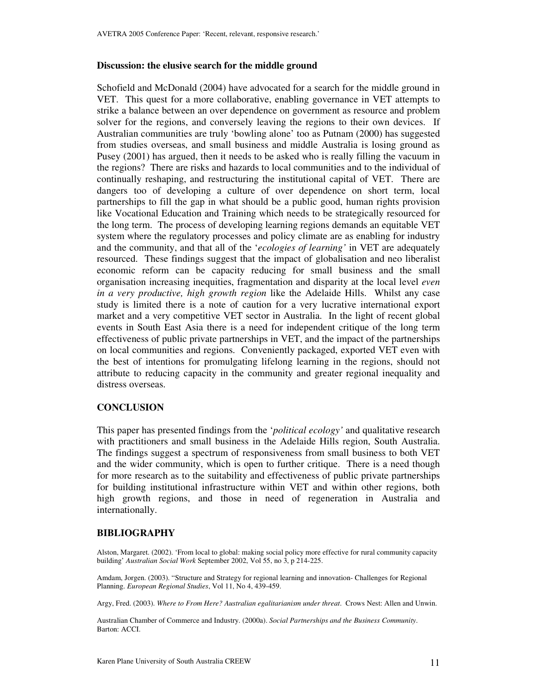#### **Discussion: the elusive search for the middle ground**

Schofield and McDonald (2004) have advocated for a search for the middle ground in VET. This quest for a more collaborative, enabling governance in VET attempts to strike a balance between an over dependence on government as resource and problem solver for the regions, and conversely leaving the regions to their own devices. If Australian communities are truly 'bowling alone' too as Putnam (2000) has suggested from studies overseas, and small business and middle Australia is losing ground as Pusey (2001) has argued, then it needs to be asked who is really filling the vacuum in the regions? There are risks and hazards to local communities and to the individual of continually reshaping, and restructuring the institutional capital of VET. There are dangers too of developing a culture of over dependence on short term, local partnerships to fill the gap in what should be a public good, human rights provision like Vocational Education and Training which needs to be strategically resourced for the long term. The process of developing learning regions demands an equitable VET system where the regulatory processes and policy climate are as enabling for industry and the community, and that all of the '*ecologies of learning'* in VET are adequately resourced. These findings suggest that the impact of globalisation and neo liberalist economic reform can be capacity reducing for small business and the small organisation increasing inequities, fragmentation and disparity at the local level *even in a very productive, high growth region* like the Adelaide Hills. Whilst any case study is limited there is a note of caution for a very lucrative international export market and a very competitive VET sector in Australia. In the light of recent global events in South East Asia there is a need for independent critique of the long term effectiveness of public private partnerships in VET, and the impact of the partnerships on local communities and regions. Conveniently packaged, exported VET even with the best of intentions for promulgating lifelong learning in the regions, should not attribute to reducing capacity in the community and greater regional inequality and distress overseas.

## **CONCLUSION**

This paper has presented findings from the '*political ecology'* and qualitative research with practitioners and small business in the Adelaide Hills region, South Australia. The findings suggest a spectrum of responsiveness from small business to both VET and the wider community, which is open to further critique. There is a need though for more research as to the suitability and effectiveness of public private partnerships for building institutional infrastructure within VET and within other regions, both high growth regions, and those in need of regeneration in Australia and internationally.

## **BIBLIOGRAPHY**

Alston, Margaret. (2002). 'From local to global: making social policy more effective for rural community capacity building' *Australian Social Work* September 2002, Vol 55, no 3, p 214-225.

Amdam, Jorgen. (2003). "Structure and Strategy for regional learning and innovation- Challenges for Regional Planning. *European Regional Studies*, Vol 11, No 4, 439-459.

Argy, Fred. (2003). *Where to From Here? Australian egalitarianism under threat*. Crows Nest: Allen and Unwin.

Australian Chamber of Commerce and Industry. (2000a). *Social Partnerships and the Business Community*. Barton: ACCI.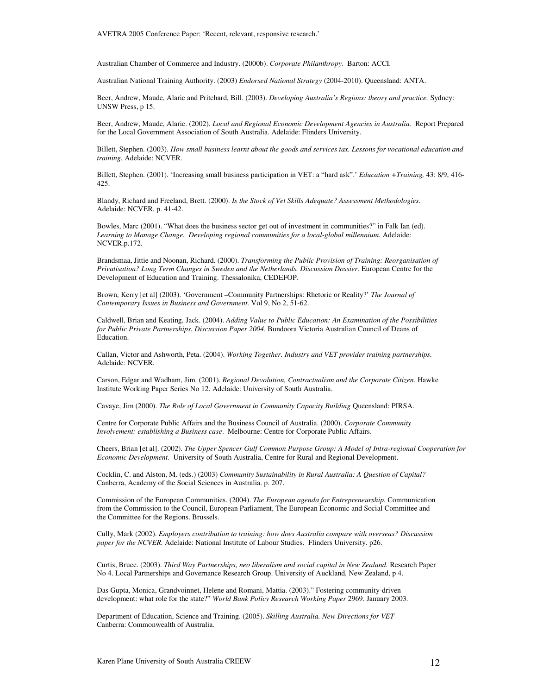AVETRA 2005 Conference Paper: 'Recent, relevant, responsive research.'

Australian Chamber of Commerce and Industry. (2000b). *Corporate Philanthropy*. Barton: ACCI.

Australian National Training Authority. (2003) *Endorsed National Strategy* (2004-2010). Queensland: ANTA.

Beer, Andrew, Maude, Alaric and Pritchard, Bill. (2003). *Developing Australia's Regions: theory and practice.* Sydney: UNSW Press, p 15.

Beer, Andrew, Maude, Alaric. (2002). *Local and Regional Economic Development Agencies in Australia.* Report Prepared for the Local Government Association of South Australia. Adelaide: Flinders University.

Billett, Stephen. (2003). How small business learnt about the goods and services tax. Lessons for vocational education and *training.* Adelaide: NCVER.

Billett, Stephen. (2001). 'Increasing small business participation in VET: a "hard ask".' *Education +Training,* 43: 8/9, 416- 425.

Blandy, Richard and Freeland, Brett. (2000). *Is the Stock of Vet Skills Adequate? Assessment Methodologies*. Adelaide: NCVER. p. 41-42.

Bowles, Marc (2001). "What does the business sector get out of investment in communities?" in Falk Ian (ed). *Learning to Manage Change. Developing regional communities for a local-global millennium.* Adelaide: NCVER.p.172.

Brandsmaa, Jittie and Noonan, Richard. (2000). *Transforming the Public Provision of Training: Reorganisation of Privatisation? Long Term Changes in Sweden and the Netherlands. Discussion Dossier.* European Centre for the Development of Education and Training. Thessalonika, CEDEFOP.

Brown, Kerry [et al] (2003). 'Government –Community Partnerships: Rhetoric or Reality?' *The Journal of Contemporary Issues in Business and Government.* Vol 9, No 2, 51-62.

Caldwell, Brian and Keating, Jack. (2004). *Adding Value to Public Education: An Examination of the Possibilities for Public Private Partnerships. Discussion Paper 2004*. Bundoora Victoria Australian Council of Deans of Education.

Callan, Victor and Ashworth, Peta. (2004). *Working Together. Industry and VET provider training partnerships.* Adelaide: NCVER.

Carson, Edgar and Wadham, Jim. (2001). *Regional Devolution, Contractualism and the Corporate Citizen.* Hawke Institute Working Paper Series No 12. Adelaide: University of South Australia.

Cavaye, Jim (2000). *The Role of Local Government in Community Capacity Building* Queensland: PIRSA.

Centre for Corporate Public Affairs and the Business Council of Australia. (2000). *Corporate Community Involvement: establishing a Business case*. Melbourne: Centre for Corporate Public Affairs.

Cheers, Brian [et al]. (2002). *The Upper Spencer Gulf Common Purpose Group: A Model of Intra-regional Cooperation for Economic Development.* University of South Australia, Centre for Rural and Regional Development.

Cocklin, C. and Alston, M. (eds.) (2003) *Community Sustainability in Rural Australia: A Question of Capital?* Canberra, Academy of the Social Sciences in Australia. p. 207.

Commission of the European Communities. (2004). *The European agenda for Entrepreneurship.* Communication from the Commission to the Council, European Parliament, The European Economic and Social Committee and the Committee for the Regions. Brussels.

Cully, Mark (2002). *Employers contribution to training: how does Australia compare with overseas? Discussion paper for the NCVER.* Adelaide: National Institute of Labour Studies. Flinders University. p26.

Curtis, Bruce. (2003). *Third Way Partnerships, neo liberalism and social capital in New Zealand.* Research Paper No 4. Local Partnerships and Governance Research Group. University of Auckland, New Zealand, p 4.

Das Gupta, Monica, Grandvoinnet, Helene and Romani, Mattia. (2003)." Fostering community-driven development: what role for the state?" *World Bank Policy Research Working Paper* 2969. January 2003.

Department of Education, Science and Training. (2005). *Skilling Australia. New Directions for VET* Canberra: Commonwealth of Australia*.*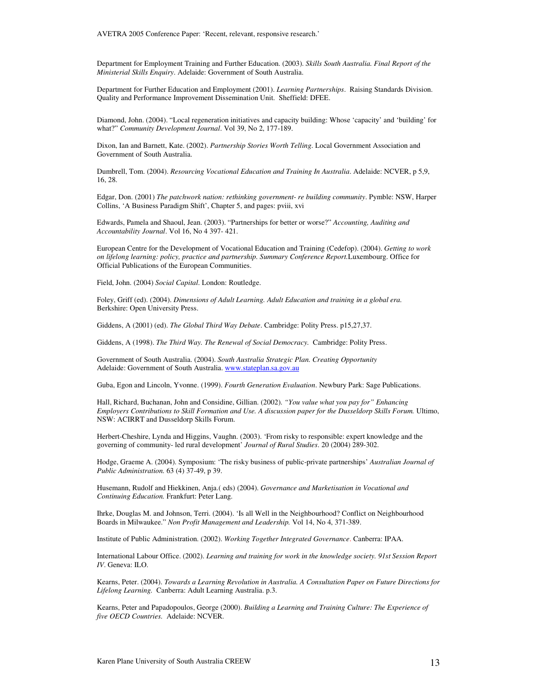AVETRA 2005 Conference Paper: 'Recent, relevant, responsive research.'

Department for Employment Training and Further Education. (2003). *Skills South Australia. Final Report of the Ministerial Skills Enquiry*. Adelaide: Government of South Australia.

Department for Further Education and Employment (2001). *Learning Partnerships*. Raising Standards Division. Quality and Performance Improvement Dissemination Unit. Sheffield: DFEE.

Diamond, John. (2004). "Local regeneration initiatives and capacity building: Whose 'capacity' and 'building' for what?" *Community Development Journal*. Vol 39, No 2, 177-189.

Dixon, Ian and Barnett, Kate. (2002). *Partnership Stories Worth Telling*. Local Government Association and Government of South Australia.

Dumbrell, Tom. (2004). *Resourcing Vocational Education and Training In Australia*. Adelaide: NCVER, p 5,9, 16, 28.

Edgar, Don. (2001) *The patchwork nation: rethinking government- re building community*. Pymble: NSW, Harper Collins, 'A Business Paradigm Shift', Chapter 5, and pages: pviii, xvi

Edwards, Pamela and Shaoul, Jean. (2003). "Partnerships for better or worse?" *Accounting, Auditing and Accountability Journal*. Vol 16, No 4 397- 421.

European Centre for the Development of Vocational Education and Training (Cedefop). (2004). *Getting to work on lifelong learning: policy, practice and partnership. Summary Conference Report.*Luxembourg. Office for Official Publications of the European Communities.

Field, John. (2004) *Social Capital*. London: Routledge.

Foley, Griff (ed). (2004). *Dimensions of Adult Learning. Adult Education and training in a global era.* Berkshire: Open University Press.

Giddens, A (2001) (ed). *The Global Third Way Debate*. Cambridge: Polity Press. p15,27,37.

Giddens, A (1998). *The Third Way. The Renewal of Social Democracy.* Cambridge: Polity Press.

Government of South Australia. (2004). *South Australia Strategic Plan. Creating Opportunity* Adelaide: Government of South Australia. www.stateplan.sa.gov.au

Guba, Egon and Lincoln, Yvonne. (1999). *Fourth Generation Evaluation*. Newbury Park: Sage Publications.

Hall, Richard, Buchanan, John and Considine, Gillian. (2002). *"You value what you pay for" Enhancing Employers Contributions to Skill Formation and Use. A discussion paper for the Dusseldorp Skills Forum.* Ultimo, NSW: ACIRRT and Dusseldorp Skills Forum.

Herbert-Cheshire, Lynda and Higgins, Vaughn. (2003). 'From risky to responsible: expert knowledge and the governing of community- led rural development' *Journal of Rural Studies*. 20 (2004) 289-302.

Hodge, Graeme A. (2004). Symposium: 'The risky business of public-private partnerships' *Australian Journal of Public Administration.* 63 (4) 37-49, p 39.

Husemann, Rudolf and Hiekkinen, Anja.( eds) (2004). *Governance and Marketisation in Vocational and Continuing Education.* Frankfurt: Peter Lang.

Ihrke, Douglas M. and Johnson, Terri. (2004). 'Is all Well in the Neighbourhood? Conflict on Neighbourhood Boards in Milwaukee." *Non Profit Management and Leadership.* Vol 14, No 4, 371-389.

Institute of Public Administration. (2002). *Working Together Integrated Governance*. Canberra: IPAA.

International Labour Office. (2002). *Learning and training for work in the knowledge society. 91st Session Report IV*. Geneva: ILO.

Kearns, Peter. (2004). *Towards a Learning Revolution in Australia. A Consultation Paper on Future Directions for Lifelong Learning.* Canberra: Adult Learning Australia. p.3.

Kearns, Peter and Papadopoulos, George (2000). *Building a Learning and Training Culture: The Experience of five OECD Countries.* Adelaide: NCVER.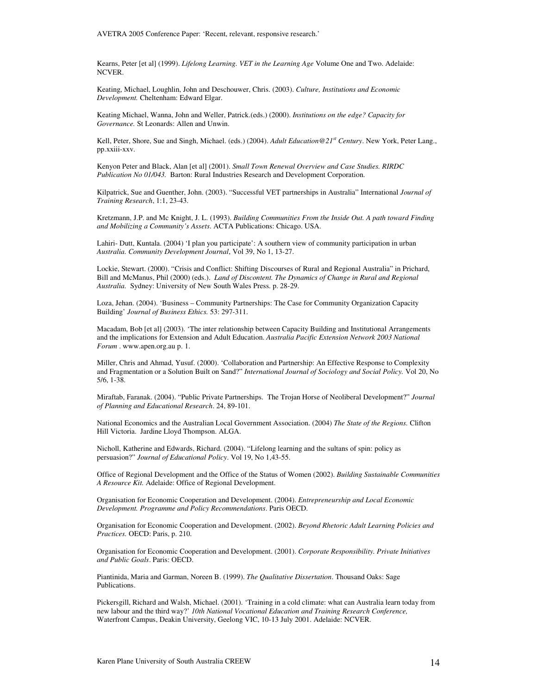Kearns, Peter [et al] (1999). *Lifelong Learning. VET in the Learning Age* Volume One and Two. Adelaide: NCVER.

Keating, Michael, Loughlin, John and Deschouwer, Chris. (2003). *Culture, Institutions and Economic Development.* Cheltenham: Edward Elgar.

Keating Michael, Wanna, John and Weller, Patrick.(eds.) (2000). *Institutions on the edge? Capacity for Governance.* St Leonards: Allen and Unwin.

Kell, Peter, Shore, Sue and Singh, Michael. (eds.) (2004). *Adult Education@21 st Century*. New York, Peter Lang., pp.xxiii-xxv.

Kenyon Peter and Black, Alan [et al] (2001). *Small Town Renewal Overview and Case Studies. RIRDC Publication No 01/043.* Barton: Rural Industries Research and Development Corporation.

Kilpatrick, Sue and Guenther, John. (2003). "Successful VET partnerships in Australia" International *Journal of Training Research*, 1:1, 23-43.

Kretzmann, J.P. and Mc Knight, J. L. (1993). *Building Communities From the Inside Out. A path toward Finding and Mobilizing a Community's Assets*. ACTA Publications: Chicago. USA.

Lahiri- Dutt, Kuntala. (2004) 'I plan you participate': A southern view of community participation in urban *Australia. Community Development Journal*, Vol 39, No 1, 13-27.

Lockie, Stewart. (2000). "Crisis and Conflict: Shifting Discourses of Rural and Regional Australia" in Prichard, Bill and McManus, Phil (2000) (eds.). *Land of Discontent. The Dynamics of Change in Rural and Regional Australia.* Sydney: University of New South Wales Press. p. 28-29.

Loza, Jehan. (2004). 'Business – Community Partnerships: The Case for Community Organization Capacity Building' *Journal of Business Ethics.* 53: 297-311.

Macadam, Bob [et al] (2003). 'The inter relationship between Capacity Building and Institutional Arrangements and the implications for Extension and Adult Education. *Australia Pacific Extension Network 2003 National Forum* . www.apen.org.au p. 1.

Miller, Chris and Ahmad, Yusuf. (2000). 'Collaboration and Partnership: An Effective Response to Complexity and Fragmentation or a Solution Built on Sand?" *International Journal of Sociology and Social Policy.* Vol 20, No 5/6, 1-38.

Miraftab, Faranak. (2004). "Public Private Partnerships. The Trojan Horse of Neoliberal Development?" *Journal of Planning and Educational Research*. 24, 89-101.

National Economics and the Australian Local Government Association. (2004) *The State of the Regions.* Clifton Hill Victoria. Jardine Lloyd Thompson. ALGA.

Nicholl, Katherine and Edwards, Richard. (2004). "Lifelong learning and the sultans of spin: policy as persuasion?" *Journal of Educational Policy*. Vol 19, No 1,43-55.

Office of Regional Development and the Office of the Status of Women (2002). *Building Sustainable Communities A Resource Kit.* Adelaide: Office of Regional Development.

Organisation for Economic Cooperation and Development. (2004). *Entrepreneurship and Local Economic Development. Programme and Policy Recommendations*. Paris OECD.

Organisation for Economic Cooperation and Development. (2002). *Beyond Rhetoric Adult Learning Policies and Practices.* OECD: Paris, p. 210.

Organisation for Economic Cooperation and Development. (2001). *Corporate Responsibility. Private Initiatives and Public Goals*. Paris: OECD.

Piantinida, Maria and Garman, Noreen B. (1999). *The Qualitative Dissertation*. Thousand Oaks: Sage Publications.

Pickersgill, Richard and Walsh, Michael. (2001). 'Training in a cold climate: what can Australia learn today from new labour and the third way?' *10th National Vocational Education and Training Research Conference,* Waterfront Campus, Deakin University, Geelong VIC, 10-13 July 2001. Adelaide: NCVER.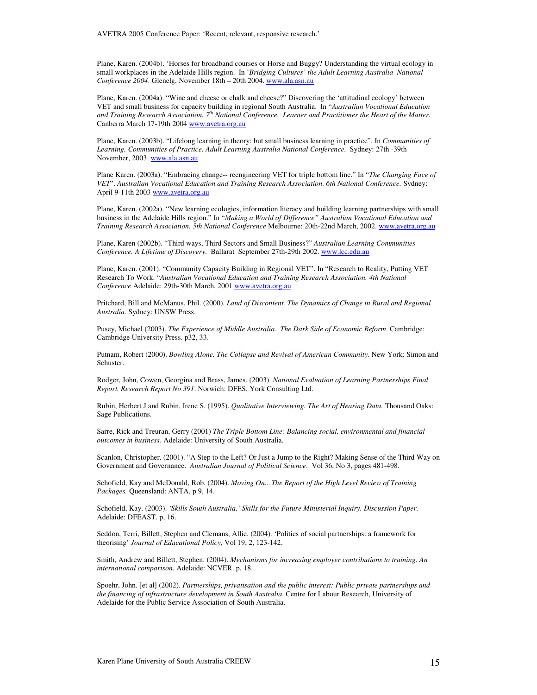Plane, Karen. (2004b). 'Horses for broadband courses or Horse and Buggy? Understanding the virtual ecology in small workplaces in the Adelaide Hills region. In '*Bridging Cultures' the Adult Learning Australia National Conference 2004*. Glenelg, November 18th – 20th 2004. www.ala.asn.au

Plane, Karen. (2004a). "Wine and cheese or chalk and cheese?" Discovering the 'attitudinal ecology' between VET and small business for capacity building in regional South Australia. In "*Australian Vocational Education and Training Research Association. 7 th National Conference. Learner and Practitioner the Heart of the Matter.* Canberra March 17-19th 2004 www.avetra.org.au

Plane, Karen. (2003b). "Lifelong learning in theory: but small business learning in practice". In *Communities of Learning, Communities of Practice. Adult Learning Australia National Conference.* Sydney: 27th -39th November, 2003. www.ala.asn.au

Plane Karen. (2003a). "Embracing change-- reengineering VET for triple bottom line." In "*The Changing Face of VET*". *Australian Vocational Education and Training Research Association. 6th National Conference.* Sydney: April 9-11th 2003 www.avetra.org.au

Plane, Karen. (2002a). "New learning ecologies, information literacy and building learning partnerships with small business in the Adelaide Hills region." In "*Making a World of Difference" Australian Vocational Education and Training Research Association. 5th National Conference* Melbourne: 20th-22nd March, 2002. www.avetra.org.au

Plane, Karen (2002b). "Third ways, Third Sectors and Small Business?" *Australian Learning Communities Conference. A Lifetime of Discovery.* Ballarat September 27th-29th 2002. www.lcc.edu.au

Plane, Karen. (2001). "Community Capacity Building in Regional VET". In "Research to Reality, Putting VET Research To Work. "*Australian Vocational Education and Training Research Association. 4th National Conference* Adelaide: 29th-30th March, 2001 www.avetra.org.au

Pritchard, Bill and McManus, Phil. (2000). *Land of Discontent. The Dynamics of Change in Rural and Regional Australia.* Sydney: UNSW Press.

Pusey, Michael (2003). *The Experience of Middle Australia. The Dark Side of Economic Reform*. Cambridge: Cambridge University Press. p32, 33.

Putnam, Robert (2000). *Bowling Alone. The Collapse and Revival of American Community*. New York: Simon and Schuster.

Rodger, John, Cowen, Georgina and Brass, James. (2003). *National Evaluation of Learning Partnerships Final Report. Research Report No 391*. Norwich: DFES, York Consulting Ltd.

Rubin, Herbert J and Rubin, Irene S. (1995). *Qualitative Interviewing. The Art of Hearing Data.* Thousand Oaks: Sage Publications.

Sarre, Rick and Treuran, Gerry (2001) *The Triple Bottom Line: Balancing social, environmental and financial outcomes in business.* Adelaide: University of South Australia.

Scanlon, Christopher. (2001). "A Step to the Left? Or Just a Jump to the Right? Making Sense of the Third Way on Government and Governance. *Australian Journal of Political Science*. Vol 36, No 3, pages 481-498.

Schofield, Kay and McDonald, Rob. (2004). *Moving On…The Report of the High Level Review of Training Packages.* Queensland: ANTA, p 9, 14.

Schofield, Kay. (2003). *'Skills South Australia.' Skills for the Future Ministerial Inquiry. Discussion Paper.* Adelaide: DFEAST. p, 16.

Seddon, Terri, Billett, Stephen and Clemans, Allie. (2004). 'Politics of social partnerships: a framework for theorising' *Journal of Educational Policy*, Vol 19, 2, 123-142.

Smith, Andrew and Billett, Stephen. (2004). *Mechanisms for increasing employer contributions to training. An international comparison.* Adelaide: NCVER. p, 18.

Spoehr, John. [et al] (2002). *Partnerships, privatisation and the public interest: Public private partnerships and the financing of infrastructure development in South Australia*. Centre for Labour Research, University of Adelaide for the Public Service Association of South Australia.